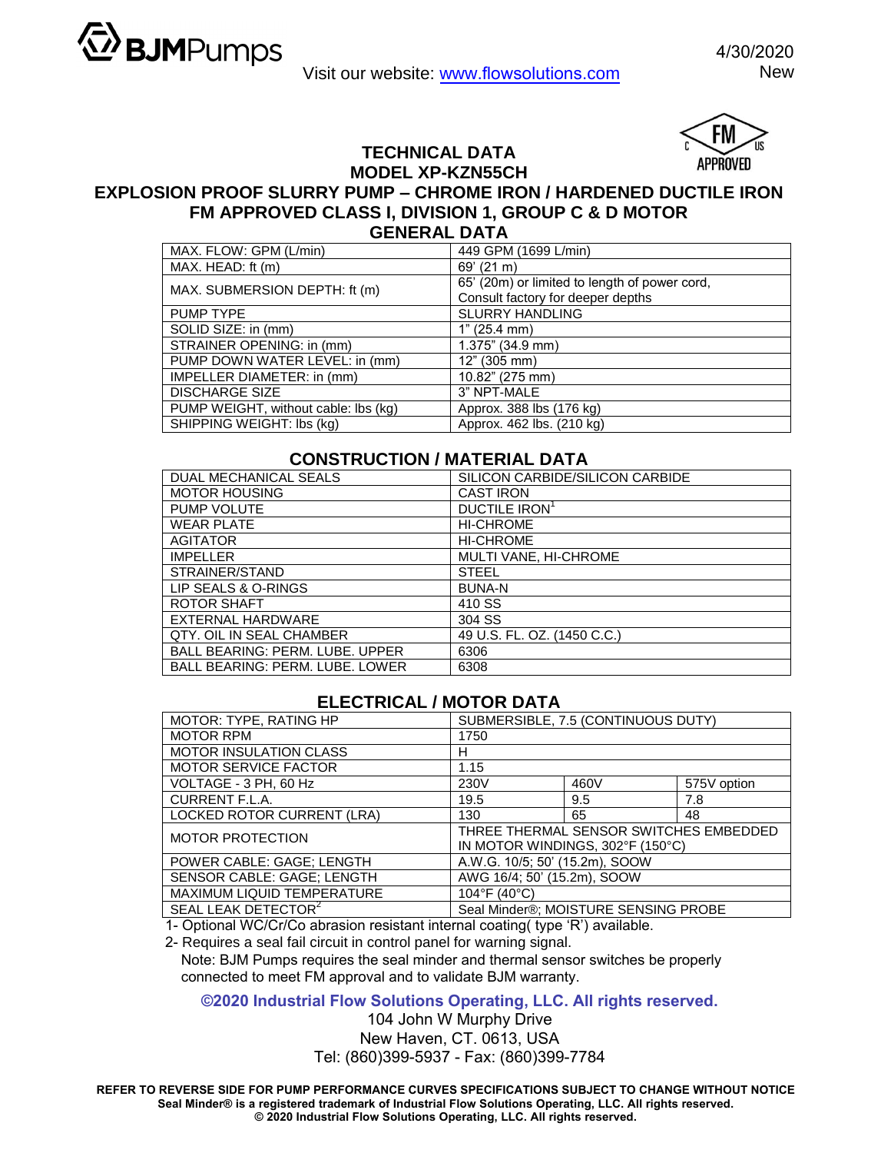



**TECHNICAL DATA** 

## **MODEL XP-KZN55CH EXPLOSION PROOF SLURRY PUMP – CHROME IRON / HARDENED DUCTILE IRON FM APPROVED CLASS I, DIVISION 1, GROUP C & D MOTOR GENERAL DATA**

| MAX. FLOW: GPM (L/min)               | 449 GPM (1699 L/min)                          |  |  |
|--------------------------------------|-----------------------------------------------|--|--|
| MAX. HEAD: ft (m)                    | $69'$ (21 m)                                  |  |  |
| MAX. SUBMERSION DEPTH: ft (m)        | 65' (20m) or limited to length of power cord, |  |  |
|                                      | Consult factory for deeper depths             |  |  |
| <b>PUMP TYPE</b>                     | <b>SLURRY HANDLING</b>                        |  |  |
| SOLID SIZE: in (mm)                  | 1" (25.4 mm)                                  |  |  |
| STRAINER OPENING: in (mm)            | $1.375$ " (34.9 mm)                           |  |  |
| PUMP DOWN WATER LEVEL: in (mm)       | 12" (305 mm)                                  |  |  |
| IMPELLER DIAMETER: in (mm)           | 10.82" (275 mm)                               |  |  |
| <b>DISCHARGE SIZE</b>                | 3" NPT-MALE                                   |  |  |
| PUMP WEIGHT, without cable: lbs (kg) | Approx. 388 lbs (176 kg)                      |  |  |
| SHIPPING WEIGHT: Ibs (kg)            | Approx. 462 lbs. (210 kg)                     |  |  |

## **CONSTRUCTION / MATERIAL DATA**

| DUAL MECHANICAL SEALS                  | SILICON CARBIDE/SILICON CARBIDE |  |  |
|----------------------------------------|---------------------------------|--|--|
| <b>MOTOR HOUSING</b>                   | <b>CAST IRON</b>                |  |  |
| PUMP VOLUTE                            | DUCTILE IRON <sup>1</sup>       |  |  |
| <b>WEAR PLATE</b>                      | <b>HI-CHROME</b>                |  |  |
| <b>AGITATOR</b>                        | <b>HI-CHROME</b>                |  |  |
| <b>IMPELLER</b>                        | MULTI VANE, HI-CHROME           |  |  |
| STRAINER/STAND                         | <b>STEEL</b>                    |  |  |
| LIP SEALS & O-RINGS                    | <b>BUNA-N</b>                   |  |  |
| ROTOR SHAFT                            | 410 SS                          |  |  |
| EXTERNAL HARDWARE                      | 304 SS                          |  |  |
| QTY, OIL IN SEAL CHAMBER               | 49 U.S. FL. OZ. (1450 C.C.)     |  |  |
| <b>BALL BEARING: PERM. LUBE. UPPER</b> | 6306                            |  |  |
| <b>BALL BEARING: PERM. LUBE. LOWER</b> | 6308                            |  |  |

## **ELECTRICAL / MOTOR DATA**

| MOTOR: TYPE, RATING HP          | SUBMERSIBLE, 7.5 (CONTINUOUS DUTY)                                         |      |             |  |
|---------------------------------|----------------------------------------------------------------------------|------|-------------|--|
| <b>MOTOR RPM</b>                | 1750                                                                       |      |             |  |
| <b>MOTOR INSULATION CLASS</b>   | н                                                                          |      |             |  |
| <b>MOTOR SERVICE FACTOR</b>     | 1.15                                                                       |      |             |  |
| VOLTAGE - 3 PH, 60 Hz           | 230V                                                                       | 460V | 575V option |  |
| <b>CURRENT F.L.A.</b>           | 19.5                                                                       | 9.5  | 7.8         |  |
| LOCKED ROTOR CURRENT (LRA)      | 130                                                                        | 65   | 48          |  |
| <b>MOTOR PROTECTION</b>         | THREE THERMAL SENSOR SWITCHES EMBEDDED<br>IN MOTOR WINDINGS, 302°F (150°C) |      |             |  |
| POWER CABLE: GAGE; LENGTH       | A.W.G. 10/5; 50' (15.2m), SOOW                                             |      |             |  |
| SENSOR CABLE: GAGE; LENGTH      | AWG 16/4; 50' (15.2m), SOOW                                                |      |             |  |
| MAXIMUM LIQUID TEMPERATURE      | 104°F (40°C)                                                               |      |             |  |
| SEAL LEAK DETECTOR <sup>2</sup> | Seal Minder®; MOISTURE SENSING PROBE                                       |      |             |  |

1- Optional WC/Cr/Co abrasion resistant internal coating( type 'R') available.

2- Requires a seal fail circuit in control panel for warning signal.

Note: BJM Pumps requires the seal minder and thermal sensor switches be properly connected to meet FM approval and to validate BJM warranty.

**©2020 Industrial Flow Solutions Operating, LLC. All rights reserved.**

104 John W Murphy Drive New Haven, CT. 0613, USA Tel: (860)399-5937 - Fax: (860)399-7784

**REFER TO REVERSE SIDE FOR PUMP PERFORMANCE CURVES SPECIFICATIONS SUBJECT TO CHANGE WITHOUT NOTICE Seal Minder® is a registered trademark of Industrial Flow Solutions Operating, LLC. All rights reserved. © 2020 Industrial Flow Solutions Operating, LLC. All rights reserved.**